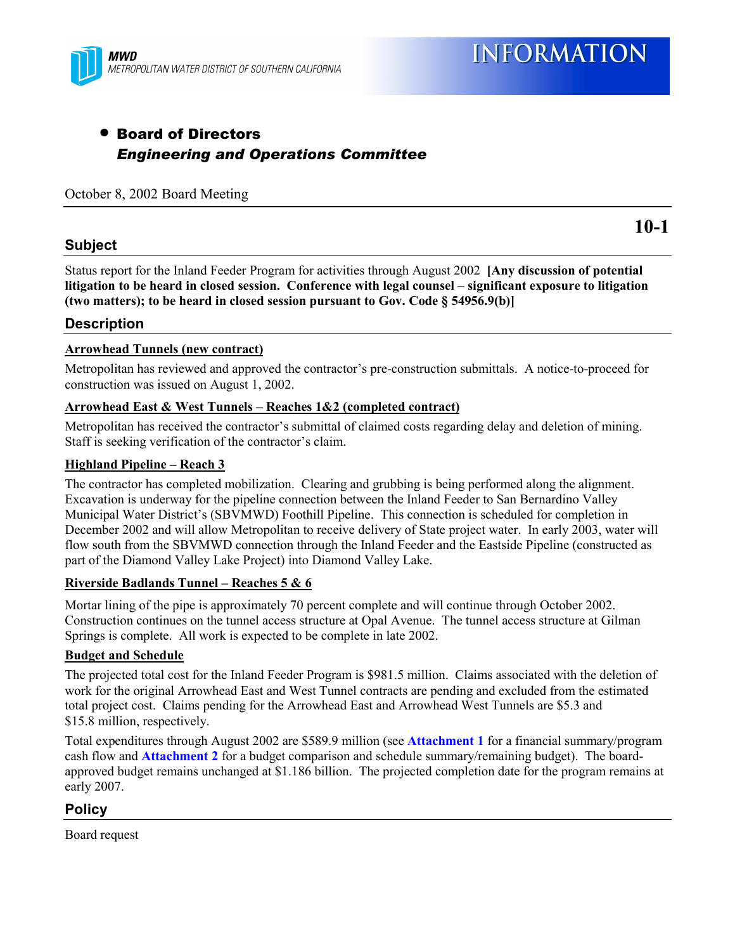

## • Board of Directors *Engineering and Operations Committee*

#### October 8, 2002 Board Meeting

#### **Subject**

**10-1**

Status report for the Inland Feeder Program for activities through August 2002 **[Any discussion of potential** litigation to be heard in closed session. Conference with legal counsel – significant exposure to litigation **(two matters); to be heard in closed session pursuant to Gov. Code ß 54956.9(b)]**

#### **Description**

#### **Arrowhead Tunnels (new contract)**

Metropolitan has reviewed and approved the contractor's pre-construction submittals. A notice-to-proceed for construction was issued on August 1, 2002.

#### **Arrowhead East & West Tunnels – Reaches 1&2 (completed contract)**

Metropolitan has received the contractor's submittal of claimed costs regarding delay and deletion of mining. Staff is seeking verification of the contractor's claim.

#### **Highland Pipeline – Reach 3**

The contractor has completed mobilization. Clearing and grubbing is being performed along the alignment. Excavation is underway for the pipeline connection between the Inland Feeder to San Bernardino Valley Municipal Water District's (SBVMWD) Foothill Pipeline. This connection is scheduled for completion in December 2002 and will allow Metropolitan to receive delivery of State project water. In early 2003, water will flow south from the SBVMWD connection through the Inland Feeder and the Eastside Pipeline (constructed as part of the Diamond Valley Lake Project) into Diamond Valley Lake.

#### **Riverside Badlands Tunnel – Reaches 5 & 6**

Mortar lining of the pipe is approximately 70 percent complete and will continue through October 2002. Construction continues on the tunnel access structure at Opal Avenue. The tunnel access structure at Gilman Springs is complete. All work is expected to be complete in late 2002.

#### **Budget and Schedule**

The projected total cost for the Inland Feeder Program is \$981.5 million. Claims associated with the deletion of work for the original Arrowhead East and West Tunnel contracts are pending and excluded from the estimated total project cost. Claims pending for the Arrowhead East and Arrowhead West Tunnels are \$5.3 and \$15.8 million, respectively.

Total expenditures through August 2002 are \$589.9 million (see **Attachment 1** for a financial summary/program cash flow and **Attachment 2** for a budget comparison and schedule summary/remaining budget). The boardapproved budget remains unchanged at \$1.186 billion. The projected completion date for the program remains at early 2007.

#### **Policy**

Board request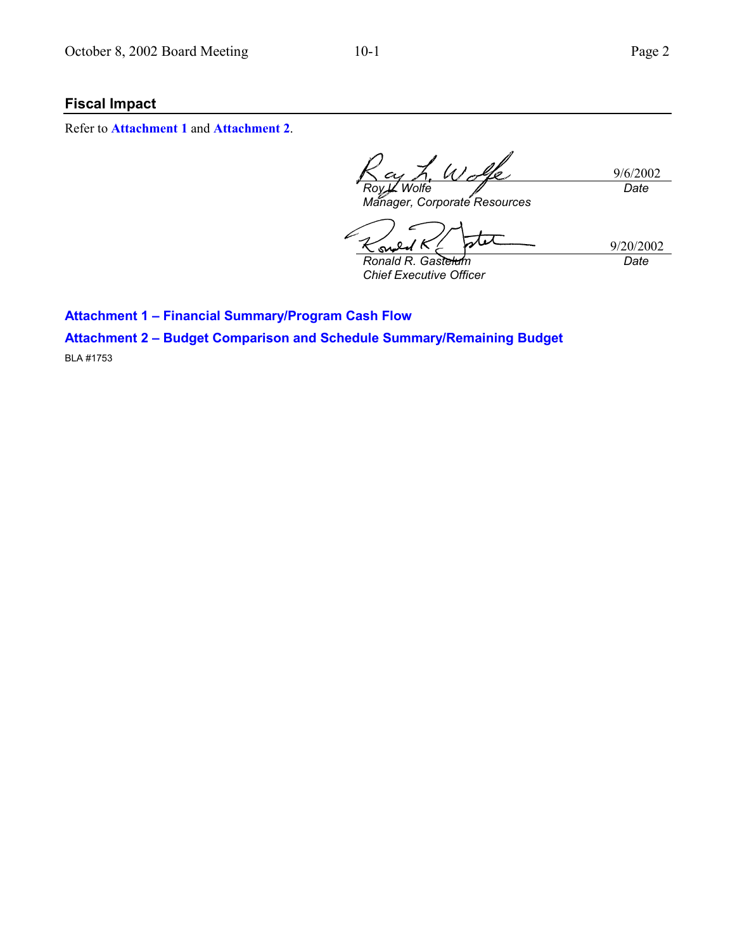### **Fiscal Impact**

Refer to **Attachment 1** and **Attachment 2**.

 $\mathscr{U}_{\mathscr{A}}$ 9/6/2002 *Wolfe Date Manager, Corporate Resources*

 $\infty$ *Ronald R. Gastelum*

9/20/2002 *Date*

*Chief Executive Officer*

**Attachment 1 - Financial Summary/Program Cash Flow** 

**Attachment 2 - Budget Comparison and Schedule Summary/Remaining Budget** 

BLA #1753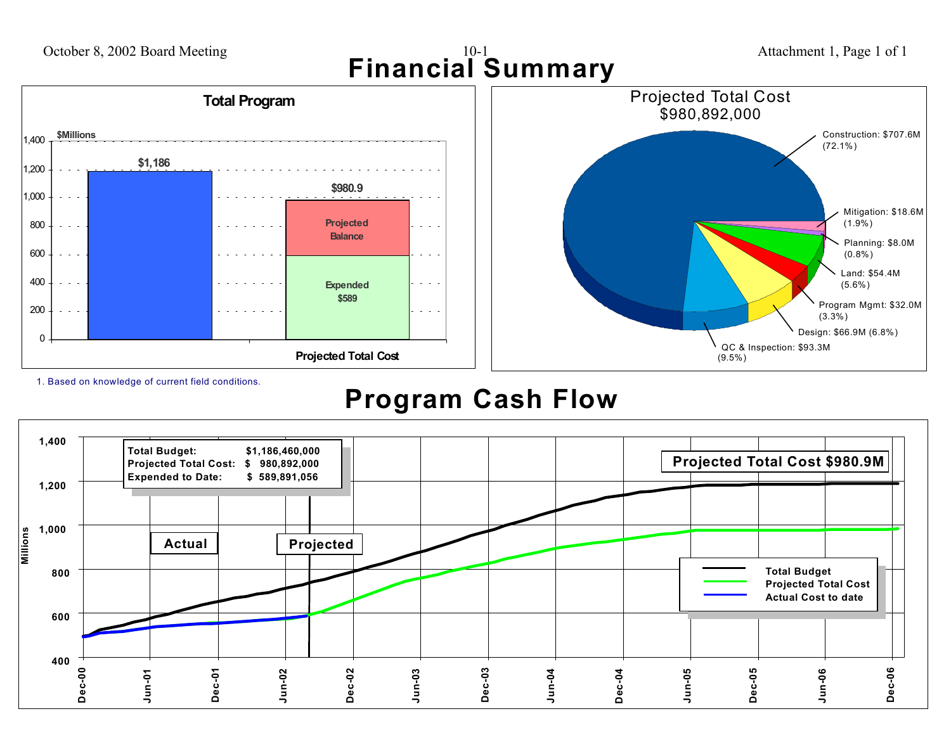

1. Based on knowledge of current field conditions.

# **Program Cash Flow**